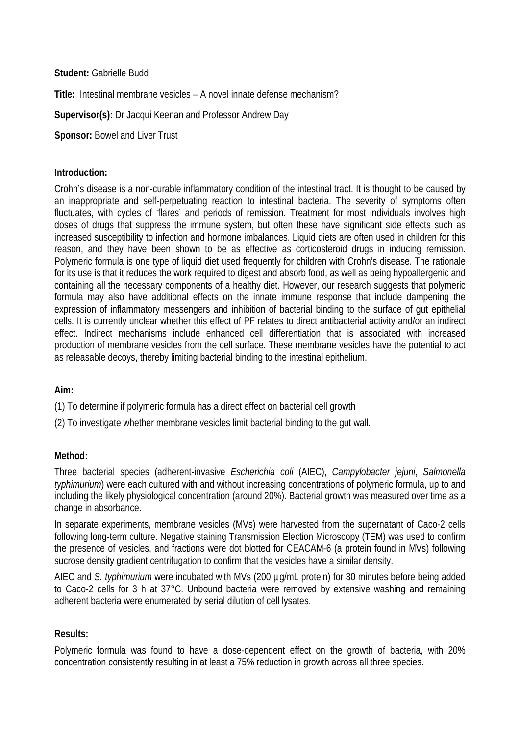**Student:** Gabrielle Budd

**Title:** Intestinal membrane vesicles – A novel innate defense mechanism?

**Supervisor(s):** Dr Jacqui Keenan and Professor Andrew Day

**Sponsor: Bowel and Liver Trust** 

### **Introduction:**

Crohn's disease is a non-curable inflammatory condition of the intestinal tract. It is thought to be caused by an inappropriate and self-perpetuating reaction to intestinal bacteria. The severity of symptoms often fluctuates, with cycles of 'flares' and periods of remission. Treatment for most individuals involves high doses of drugs that suppress the immune system, but often these have significant side effects such as increased susceptibility to infection and hormone imbalances. Liquid diets are often used in children for this reason, and they have been shown to be as effective as corticosteroid drugs in inducing remission. Polymeric formula is one type of liquid diet used frequently for children with Crohn's disease. The rationale for its use is that it reduces the work required to digest and absorb food, as well as being hypoallergenic and containing all the necessary components of a healthy diet. However, our research suggests that polymeric formula may also have additional effects on the innate immune response that include dampening the expression of inflammatory messengers and inhibition of bacterial binding to the surface of gut epithelial cells. It is currently unclear whether this effect of PF relates to direct antibacterial activity and/or an indirect effect. Indirect mechanisms include enhanced cell differentiation that is associated with increased production of membrane vesicles from the cell surface. These membrane vesicles have the potential to act as releasable decoys, thereby limiting bacterial binding to the intestinal epithelium.

# **Aim:**

(1) To determine if polymeric formula has a direct effect on bacterial cell growth

(2) To investigate whether membrane vesicles limit bacterial binding to the gut wall.

# **Method:**

Three bacterial species (adherent-invasive *Escherichia coli* (AIEC), *Campylobacter jejuni*, *Salmonella typhimurium*) were each cultured with and without increasing concentrations of polymeric formula, up to and including the likely physiological concentration (around 20%). Bacterial growth was measured over time as a change in absorbance.

In separate experiments, membrane vesicles (MVs) were harvested from the supernatant of Caco-2 cells following long-term culture. Negative staining Transmission Election Microscopy (TEM) was used to confirm the presence of vesicles, and fractions were dot blotted for CEACAM-6 (a protein found in MVs) following sucrose density gradient centrifugation to confirm that the vesicles have a similar density.

AIEC and *S. typhimurium* were incubated with MVs (200 µg/mL protein) for 30 minutes before being added to Caco-2 cells for 3 h at 37°C. Unbound bacteria were removed by extensive washing and remaining adherent bacteria were enumerated by serial dilution of cell lysates.

# **Results:**

Polymeric formula was found to have a dose-dependent effect on the growth of bacteria, with 20% concentration consistently resulting in at least a 75% reduction in growth across all three species.